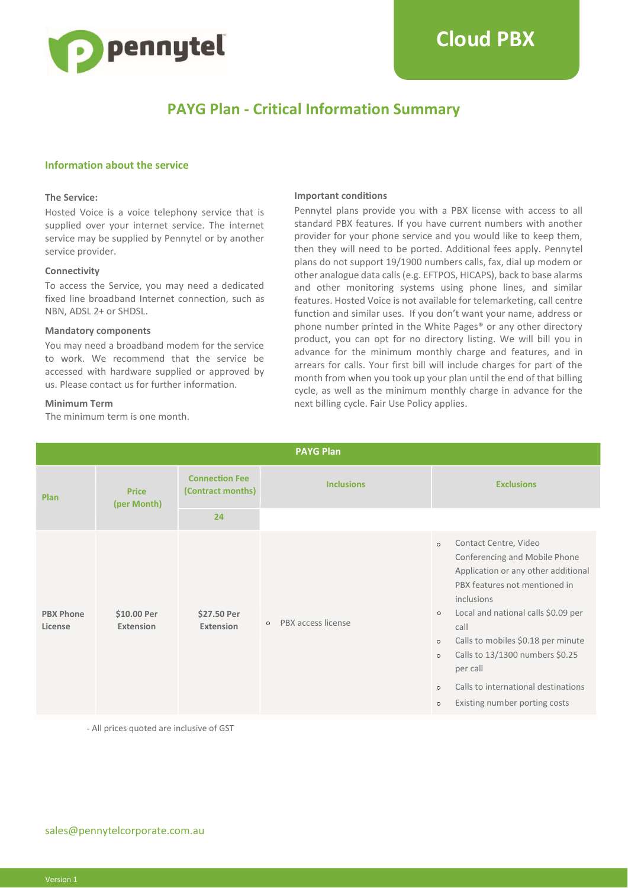

## **PAYG Plan - Critical Information Summary**

#### **Information about the service**

#### **The Service:**

Hosted Voice is a voice telephony service that is supplied over your internet service. The internet service may be supplied by Pennytel or by another service provider.

#### **Connectivity**

To access the Service, you may need a dedicated fixed line broadband Internet connection, such as NBN, ADSL 2+ or SHDSL.

#### **Mandatory components**

You may need a broadband modem for the service to work. We recommend that the service be accessed with hardware supplied or approved by us. Please contact us for further information.

#### **Minimum Term**

The minimum term is one month.

#### **Important conditions**

Pennytel plans provide you with a PBX license with access to all standard PBX features. If you have current numbers with another provider for your phone service and you would like to keep them, then they will need to be ported. Additional fees apply. Pennytel plans do not support 19/1900 numbers calls, fax, dial up modem or other analogue data calls (e.g. EFTPOS, HICAPS), back to base alarms and other monitoring systems using phone lines, and similar features. Hosted Voice is not available for telemarketing, call centre function and similar uses. If you don't want your name, address or phone number printed in the White Pages® or any other directory product, you can opt for no directory listing. We will bill you in advance for the minimum monthly charge and features, and in arrears for calls. Your first bill will include charges for part of the month from when you took up your plan until the end of that billing cycle, as well as the minimum monthly charge in advance for the next billing cycle. Fair Use Policy applies.

| <b>PAYG Plan</b>            |                             |                                            |                               |                                                                                                                                                                                                                                                                                                                                                                                                                            |
|-----------------------------|-----------------------------|--------------------------------------------|-------------------------------|----------------------------------------------------------------------------------------------------------------------------------------------------------------------------------------------------------------------------------------------------------------------------------------------------------------------------------------------------------------------------------------------------------------------------|
| <b>Plan</b>                 | <b>Price</b><br>(per Month) | <b>Connection Fee</b><br>(Contract months) | <b>Inclusions</b>             | <b>Exclusions</b>                                                                                                                                                                                                                                                                                                                                                                                                          |
|                             |                             | 24                                         |                               |                                                                                                                                                                                                                                                                                                                                                                                                                            |
| <b>PBX Phone</b><br>License | \$10.00 Per<br>Extension    | \$27.50 Per<br><b>Extension</b>            | PBX access license<br>$\circ$ | Contact Centre, Video<br>$\circ$<br>Conferencing and Mobile Phone<br>Application or any other additional<br>PBX features not mentioned in<br>inclusions<br>Local and national calls \$0.09 per<br>$\circ$<br>call<br>Calls to mobiles \$0.18 per minute<br>$\circ$<br>Calls to 13/1300 numbers \$0.25<br>$\circ$<br>per call<br>Calls to international destinations<br>$\circ$<br>Existing number porting costs<br>$\circ$ |

- All prices quoted are inclusive of GST